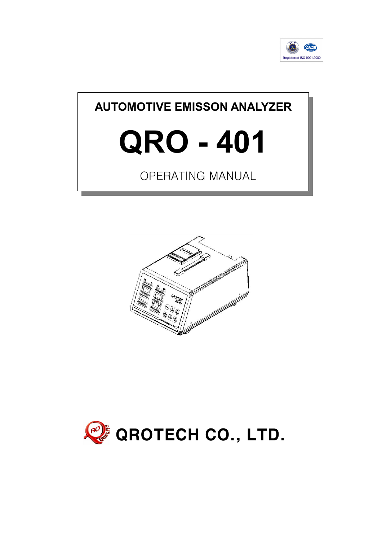

# AUTOMOTIVE EMISSON ANALYZER

# QRO - 401

# OPERATING MANUAL



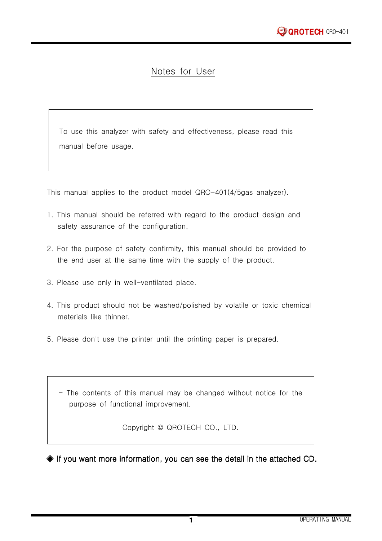## Notes for User

To use this analyzer with safety and effectiveness, please read this manual before usage.

This manual applies to the product model QRO-401(4/5gas analyzer).

- 1. This manual should be referred with regard to the product design and safety assurance of the configuration.
- 2. For the purpose of safety confirmity, this manual should be provided to the end user at the same time with the supply of the product.
- 3. Please use only in well-ventilated place.
- 4. This product should not be washed/polished by volatile or toxic chemical materials like thinner.
- 5. Please don't use the printer until the printing paper is prepared.

- The contents of this manual may be changed without notice for the purpose of functional improvement.

Copyright © QROTECH CO., LTD.

◆ If you want more information, you can see the detail in the attached CD.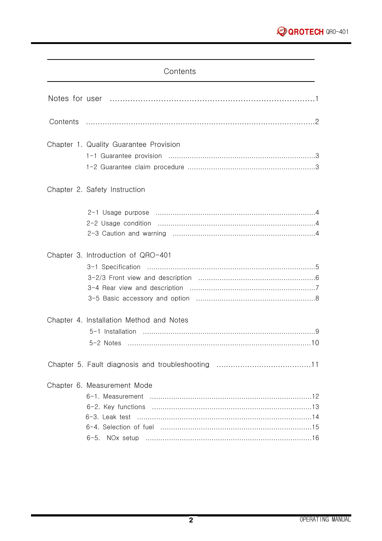#### Contents

| Chapter 1. Quality Guarantee Provision   |
|------------------------------------------|
| Chapter 2. Safety Instruction            |
|                                          |
| Chapter 3. Introduction of QRO-401       |
| Chapter 4. Installation Method and Notes |
|                                          |
| Chapter 6. Measurement Mode              |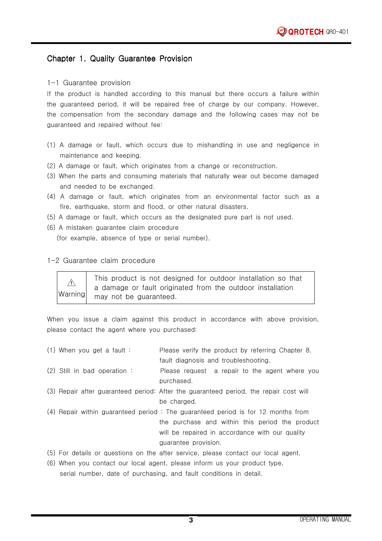#### Chapter 1. Quality Guarantee Provision

#### 1-1 Guarantee provision

If the product is handled according to this manual but there occurs a failure within the guaranteed period, it will be repaired free of charge by our company. However, the compensation from the secondary damage and the following cases may not be guaranteed and repaired without fee:

- (1) A damage or fault, which occurs due to mishandling in use and negligence in maintenance and keeping.
- (2) A damage or fault, which originates from a change or reconstruction.
- (3) When the parts and consuming materials that naturally wear out become damaged and needed to be exchanged.
- (4) A damage or fault, which originates from an environmental factor such as a fire, earthquake, storm and flood, or other natural disasters.
- (5) A damage or fault, which occurs as the designated pure part is not used.
- (6) A mistaken guarantee claim procedure (for example, absence of type or serial number).

#### 1-2 Guarantee claim procedure

| Warning | This product is not designed for outdoor installation so that |
|---------|---------------------------------------------------------------|
|         | a damage or fault originated from the outdoor installation    |
|         | may not be guaranteed.                                        |

When you issue a claim against this product in accordance with above provision, please contact the agent where you purchased:

| $(1)$ When you get a fault:   | Please verify the product by referring Chapter 8.                                     |
|-------------------------------|---------------------------------------------------------------------------------------|
|                               | fault diagnosis and troubleshooting.                                                  |
| $(2)$ Still in bad operation: | Please request a repair to the agent where you                                        |
|                               | purchased.                                                                            |
|                               | (3) Repair after guaranteed period: After the guaranteed period, the repair cost will |
|                               | be charged.                                                                           |
|                               | (4) Repair within guaranteed period: The guaranteed period is for 12 months from      |
|                               | the purchase and within this period the product                                       |
|                               | will be repaired in accordance with our quality                                       |
|                               | quarantee provision.                                                                  |
|                               | (5) For details or questions on the after service, please contact our local agent.    |

(6) When you contact our local agent, please inform us your product type, serial number, date of purchasing, and fault conditions in detail.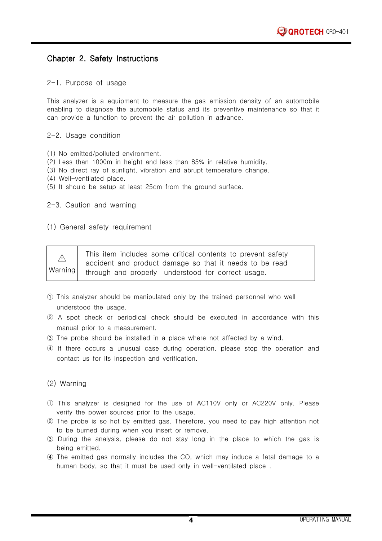#### Chapter 2. Safety Instructions

#### 2-1. Purpose of usage

This analyzer is a equipment to measure the gas emission density of an automobile enabling to diagnose the automobile status and its preventive maintenance so that it can provide a function to prevent the air pollution in advance.

#### 2-2. Usage condition

- (1) No emitted/polluted environment.
- (2) Less than 1000m in height and less than 85% in relative humidity.
- (3) No direct ray of sunlight, vibration and abrupt temperature change.
- (4) Well-ventilated place.
- (5) It should be setup at least 25cm from the ground surface.

#### 2-3. Caution and warning

#### (1) General safety requirement

| Warning | This item includes some critical contents to prevent safety |
|---------|-------------------------------------------------------------|
|         | accident and product damage so that it needs to be read     |
|         | through and properly understood for correct usage.          |

- ① This analyzer should be manipulated only by the trained personnel who well understood the usage.
- ② A spot check or periodical check should be executed in accordance with this manual prior to a measurement.
- ③ The probe should be installed in a place where not affected by a wind.
- ④ If there occurs a unusual case during operation, please stop the operation and contact us for its inspection and verification.

#### (2) Warning

- ① This analyzer is designed for the use of AC110V only or AC220V only. Please verify the power sources prior to the usage.
- ② The probe is so hot by emitted gas. Therefore, you need to pay high attention not to be burned during when you insert or remove.
- ③ During the analysis, please do not stay long in the place to which the gas is being emitted.
- ④ The emitted gas normally includes the CO, which may induce a fatal damage to a human body, so that it must be used only in well-ventilated place .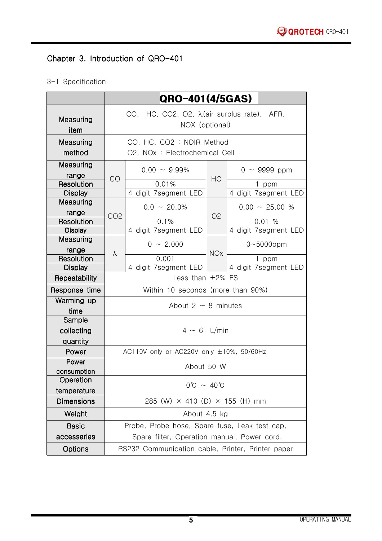# Chapter 3. Introduction of QRO-401

## 3-1 Specification

|                              |                                                                       | QRO-401(4/5GAS)                                   |            |                             |
|------------------------------|-----------------------------------------------------------------------|---------------------------------------------------|------------|-----------------------------|
| Measuring<br>item            | CO, HC, CO2, O2, $\lambda$ (air surplus rate), AFR,<br>NOX (optional) |                                                   |            |                             |
| Measuring                    |                                                                       | CO, HC, CO2: NDIR Method                          |            |                             |
| method                       |                                                                       | O2, NOx: Electrochemical Cell                     |            |                             |
| Measuring                    |                                                                       | $0.00 \sim 9.99\%$                                |            | $0 \sim 9999$ ppm           |
| range                        | CO                                                                    |                                                   | <b>HC</b>  |                             |
| Resolution<br><b>Display</b> |                                                                       | 0.01%<br>4 digit 7segment LED                     |            | ppm<br>4 digit 7segment LED |
| Measuring                    |                                                                       |                                                   |            |                             |
| range                        | CO <sub>2</sub>                                                       | $0.0 \sim 20.0\%$                                 | O2         | $0.00 \sim 25.00 %$         |
| Resolution                   |                                                                       | 0.1%                                              |            | 0.01%                       |
| <b>Display</b>               |                                                                       | 4 digit 7segment LED                              |            | 4 digit 7segment LED        |
| Measuring                    |                                                                       | $0 \sim 2.000$                                    |            | $0 - 5000$ ppm              |
| range<br>Resolution          | λ                                                                     | 0.001                                             | <b>NOx</b> | 1 ppm                       |
| <b>Display</b>               |                                                                       | 4 digit 7segment LED                              |            | 4 digit 7segment LED        |
| Repeatability                | Less than $\pm 2\%$ FS                                                |                                                   |            |                             |
| Response time                | Within 10 seconds (more than 90%)                                     |                                                   |            |                             |
| Warming up                   | About 2 $\sim$ 8 minutes                                              |                                                   |            |                             |
| time                         |                                                                       |                                                   |            |                             |
| Sample                       |                                                                       |                                                   |            |                             |
| collecting                   | $4 \sim 6$ L/min                                                      |                                                   |            |                             |
| quantity<br>Power            |                                                                       |                                                   |            |                             |
| Power                        |                                                                       | AC110V only or AC220V only ±10%, 50/60Hz          |            |                             |
| consumption                  | About 50 W                                                            |                                                   |            |                             |
| Operation                    | $0^{\circ}C \sim 40^{\circ}C$                                         |                                                   |            |                             |
| temperature                  |                                                                       |                                                   |            |                             |
| <b>Dimensions</b>            |                                                                       | 285 (W) $\times$ 410 (D) $\times$ 155 (H) mm      |            |                             |
| Weight                       |                                                                       | About 4.5 kg                                      |            |                             |
| <b>Basic</b>                 |                                                                       | Probe, Probe hose, Spare fuse, Leak test cap,     |            |                             |
| accessaries                  |                                                                       | Spare filter, Operation manual, Power cord,       |            |                             |
| Options                      |                                                                       | RS232 Communication cable, Printer, Printer paper |            |                             |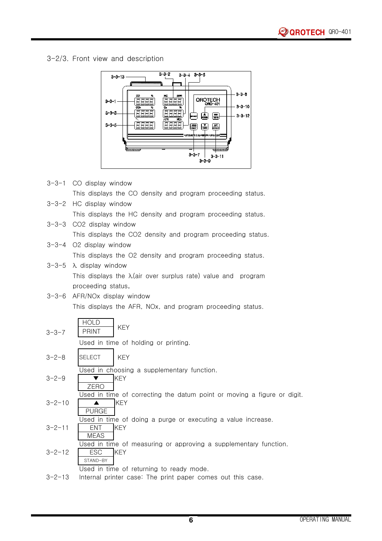3-2/3. Front view and description



3-3-1 CO display window This displays the CO density and program proceeding status. 3-3-2 HC display window This displays the HC density and program proceeding status. 3-3-3 CO2 display window This displays the CO2 density and program proceeding status. 3-3-4 O2 display window This displays the O2 density and program proceeding status.  $3-3-5$   $\lambda$  display window

> This displays the  $\lambda$ (air over surplus rate) value and program proceeding status.

3-3-6 AFR/NOx display window This displays the AFR, NOx, and program proceeding status.

| $3 - 3 - 7$  | <b>HOLD</b><br><b>KEY</b><br><b>PRINT</b>                                                                |
|--------------|----------------------------------------------------------------------------------------------------------|
|              | Used in time of holding or printing.                                                                     |
| $3 - 2 - 8$  | <b>SELECT</b><br><b>KEY</b>                                                                              |
| $3 - 2 - 9$  | Used in choosing a supplementary function.<br><b>KEY</b><br>ZERO                                         |
| $3 - 2 - 10$ | Used in time of correcting the datum point or moving a figure or digit.<br><b>KEY</b><br><b>PURGE</b>    |
| $3 - 2 - 11$ | Used in time of doing a purge or executing a value increase.<br><b>KEY</b><br>ENT.<br><b>MEAS</b>        |
| $3 - 2 - 12$ | Used in time of measuring or approving a supplementary function.<br><b>ESC</b><br><b>KEY</b><br>STAND-BY |
| $3 - 2 - 13$ | Used in time of returning to ready mode.<br>Internal printer case: The print paper comes out this case.  |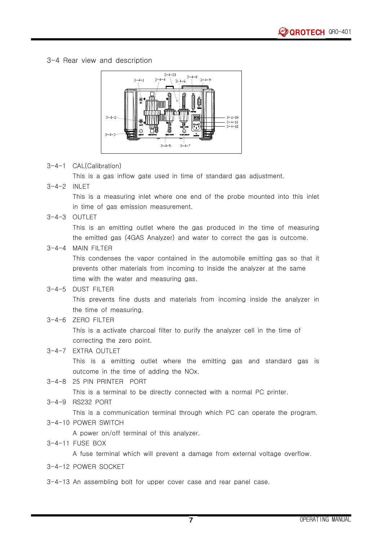#### 3-4 Rear view and description



#### 3-4-1 CAL(Calibration)

This is a gas inflow gate used in time of standard gas adjustment.

#### 3-4-2 INLET

This is a measuring inlet where one end of the probe mounted into this inlet in time of gas emission measurement.

3-4-3 OUTLET

This is an emitting outlet where the gas produced in the time of measuring the emitted gas (4GAS Analyzer) and water to correct the gas is outcome.

3-4-4 MAIN FILTER

This condenses the vapor contained in the automobile emitting gas so that it prevents other materials from incoming to inside the analyzer at the same time with the water and measuring gas.

#### 3-4-5 DUST FILTER

This prevents fine dusts and materials from incoming inside the analyzer in the time of measuring.

3-4-6 ZERO FILTER

This is a activate charcoal filter to purify the analyzer cell in the time of correcting the zero point.

#### 3-4-7 EXTRA OUTLET

This is a emitting outlet where the emitting gas and standard gas is outcome in the time of adding the NOx.

3-4-8 25 PIN PRINTER PORT

This is a terminal to be directly connected with a normal PC printer.

3-4-9 RS232 PORT

This is a communication terminal through which PC can operate the program.

3-4-10 POWER SWITCH

A power on/off terminal of this analyzer.

3-4-11 FUSE BOX

A fuse terminal which will prevent a damage from external voltage overflow.

3-4-12 POWER SOCKET

3-4-13 An assembling bolt for upper cover case and rear panel case.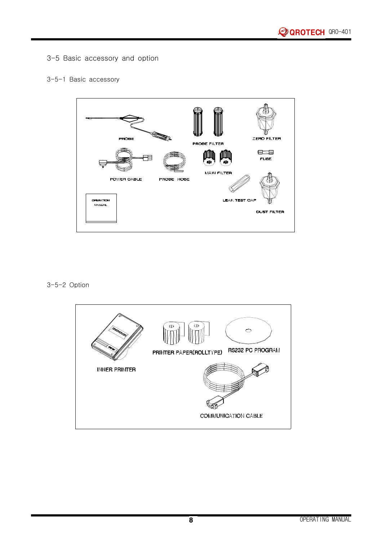3-5 Basic accessory and option

#### 3-5-1 Basic accessory



3-5-2 Option

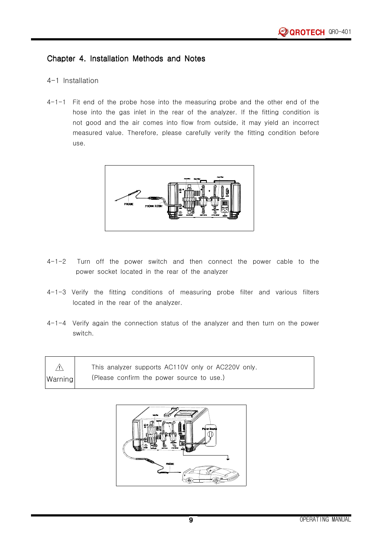#### Chapter 4. Installation Methods and Notes

#### 4-1 Installation

4-1-1 Fit end of the probe hose into the measuring probe and the other end of the hose into the gas inlet in the rear of the analyzer. If the fitting condition is not good and the air comes into flow from outside, it may yield an incorrect measured value. Therefore, please carefully verify the fitting condition before use.



- 4-1-2 Turn off the power switch and then connect the power cable to the power socket located in the rear of the analyzer
- 4-1-3 Verify the fitting conditions of measuring probe filter and various filters located in the rear of the analyzer.
- 4-1-4 Verify again the connection status of the analyzer and then turn on the power switch.

|         | This analyzer supports AC110V only or AC220V only. |
|---------|----------------------------------------------------|
| Warning | (Please confirm the power source to use.)          |

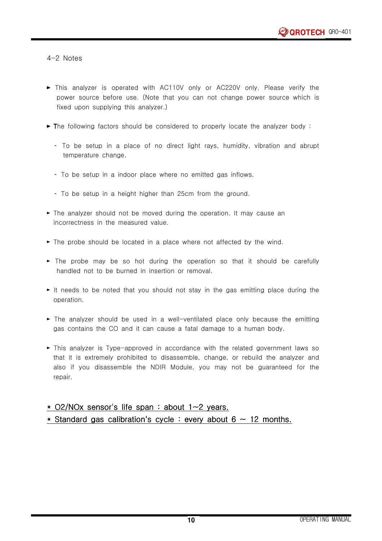4-2 Notes

- ► This analyzer is operated with AC110V only or AC220V only. Please verify the power source before use. (Note that you can not change power source which is fixed upon supplying this analyzer.)
- $\blacktriangleright$  The following factors should be considered to properly locate the analyzer body :
	- 삇 To be setup in a place of no direct light rays, humidity, vibration and abrupt temperature change.
	- To be setup in a indoor place where no emitted gas inflows.
	- 삇 To be setup in a height higher than 25cm from the ground.
- $\blacktriangleright$  The analyzer should not be moved during the operation. It may cause an incorrectness in the measured value.
- ► The probe should be located in a place where not affected by the wind.
- $\triangleright$  The probe may be so hot during the operation so that it should be carefully handled not to be burned in insertion or removal.
- $\triangleright$  It needs to be noted that you should not stay in the gas emitting place during the operation.
- $\blacktriangleright$  The analyzer should be used in a well-ventilated place only because the emitting gas contains the CO and it can cause a fatal damage to a human body.
- ► This analyzer is Type-approved in accordance with the related government laws so that it is extremely prohibited to disassemble, change, or rebuild the analyzer and also if you disassemble the NDIR Module, you may not be guaranteed for the repair.

#### \* O2/NOx sensor's life span : about 1~2 years.

\* Standard gas calibration's cycle : every about  $6 \sim 12$  months.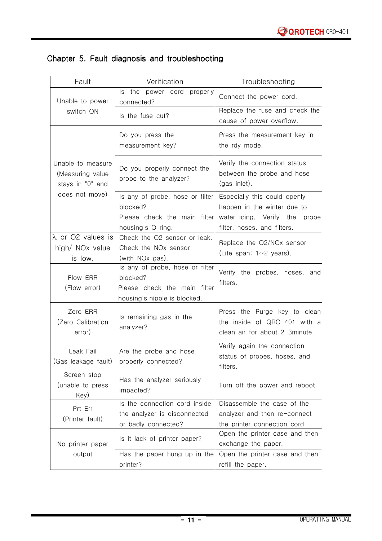| Fault                                                               | Verification                                                                                                | Troubleshooting                                                                                                                |
|---------------------------------------------------------------------|-------------------------------------------------------------------------------------------------------------|--------------------------------------------------------------------------------------------------------------------------------|
| Unable to power                                                     | Is the<br>power cord<br>properly<br>connected?                                                              | Connect the power cord.                                                                                                        |
| switch ON                                                           | Is the fuse cut?                                                                                            | Replace the fuse and check the<br>cause of power overflow.                                                                     |
|                                                                     | Do you press the<br>measurement key?                                                                        | Press the measurement key in<br>the rdy mode.                                                                                  |
| Unable to measure<br>(Measuring value)<br>stays in "0" and          | Do you properly connect the<br>probe to the analyzer?                                                       | Verify the connection status<br>between the probe and hose<br>(gas inlet).                                                     |
| does not move)                                                      | Is any of probe, hose or filter<br>blocked?<br>Please check the main filter<br>housing's O ring.            | Especially this could openly<br>happen in the winter due to<br>water-icing. Verify the<br>probe<br>filter, hoses, and filters. |
| $\lambda$ or O2 values is<br>high/ NO <sub>x</sub> value<br>is low. | Check the O2 sensor or leak.<br>Check the NOx sensor<br>(with NO <sub>x</sub> gas).                         | Replace the O2/NOx sensor<br>(Life span: $1 \sim 2$ years).                                                                    |
| Flow ERR<br>(Flow error)                                            | Is any of probe, hose or filter<br>blocked?<br>Please check the main filter<br>housing's nipple is blocked. | Verify the probes, hoses, and<br>filters.                                                                                      |
| Zero ERR<br>(Zero Calibration<br>error)                             | Is remaining gas in the<br>analyzer?                                                                        | Press the Purge key to clean<br>the inside of QRO-401 with a<br>clean air for about 2-3minute.                                 |
| Leak Fail<br>(Gas leakage fault)                                    | Are the probe and hose<br>properly connected?                                                               | Verify again the connection<br>status of probes, hoses, and<br>filters.                                                        |
| Screen stop<br>(unable to press<br>Key)                             | Has the analyzer seriously<br>impacted?                                                                     | Turn off the power and reboot.                                                                                                 |
| Prt Err<br>(Printer fault)                                          | Is the connection cord inside<br>the analyzer is disconnected<br>or badly connected?                        | Disassemble the case of the<br>analyzer and then re-connect<br>the printer connection cord.                                    |
| No printer paper                                                    | Is it lack of printer paper?                                                                                | Open the printer case and then<br>exchange the paper.                                                                          |
| output                                                              | Has the paper hung up in the<br>printer?                                                                    | Open the printer case and then<br>refill the paper.                                                                            |

## Chapter 5. Fault diagnosis and troubleshooting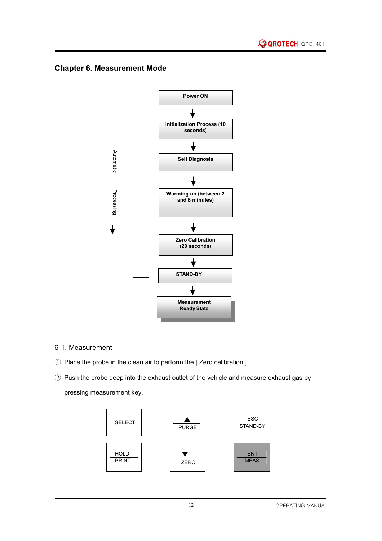### Chapter 6. Measurement Mode



#### 6-1. Measurement

- ① Place the probe in the clean air to perform the [ Zero calibration ].
- ② Push the probe deep into the exhaust outlet of the vehicle and measure exhaust gas by pressing measurement key.

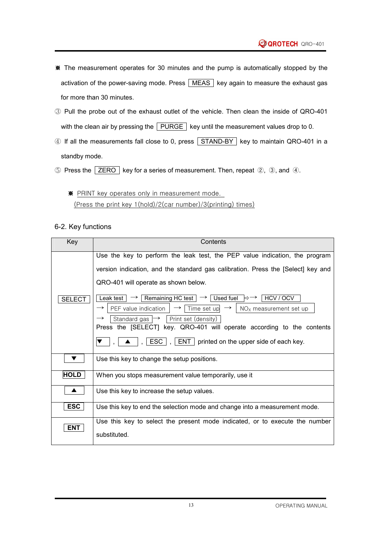- ※ The measurement operates for 30 minutes and the pump is automatically stopped by the activation of the power-saving mode. Press  $\sqrt{\text{MEAS}}$  key again to measure the exhaust gas for more than 30 minutes.
- ③ Pull the probe out of the exhaust outlet of the vehicle. Then clean the inside of QRO-401 with the clean air by pressing the  $\sqrt{\text{PURGE}}$  key until the measurement values drop to 0.
- ④ If all the measurements fall close to 0, press STAND-BY key to maintain QRO-401 in a standby mode.
- ⑤ Press the ZERO key for a series of measurement. Then, repeat ②, ③, and ④.
	- ※ PRINT key operates only in measurement mode. (Press the print key 1(hold)/2(car number)/3(printing) times)

6-2. Key functions

| Key           | Contents                                                                                                                                                                                                                                                                                                                                                                             |  |  |
|---------------|--------------------------------------------------------------------------------------------------------------------------------------------------------------------------------------------------------------------------------------------------------------------------------------------------------------------------------------------------------------------------------------|--|--|
|               | Use the key to perform the leak test, the PEP value indication, the program                                                                                                                                                                                                                                                                                                          |  |  |
|               | version indication, and the standard gas calibration. Press the [Select] key and                                                                                                                                                                                                                                                                                                     |  |  |
|               | QRO-401 will operate as shown below.                                                                                                                                                                                                                                                                                                                                                 |  |  |
| <b>SELECT</b> | $\rightarrow$   Remaining HC test $ \rightarrow $ Used fuel $ \rightarrow\rightarrow $ HCV / OCV<br>Leak test<br>PEF value indication<br>$\rightarrow$   Time set up $\rightarrow$   NO <sub>X</sub> measurement set up<br>$\rightarrow$<br>Standard gas $\mapsto$<br>Print set (density)<br>$\rightarrow$<br>Press the [SELECT] key. QRO-401 will operate according to the contents |  |  |
|               | $\vert \bullet \vert$ , $\vert$ ESC $\vert$ , $\vert$ ENT $\vert$ printed on the upper side of each key.                                                                                                                                                                                                                                                                             |  |  |
|               | Use this key to change the setup positions.                                                                                                                                                                                                                                                                                                                                          |  |  |
| <b>HOLD</b>   | When you stops measurement value temporarily, use it                                                                                                                                                                                                                                                                                                                                 |  |  |
|               | Use this key to increase the setup values.                                                                                                                                                                                                                                                                                                                                           |  |  |
| <b>ESC</b>    | Use this key to end the selection mode and change into a measurement mode.                                                                                                                                                                                                                                                                                                           |  |  |
| <b>ENT</b>    | Use this key to select the present mode indicated, or to execute the number                                                                                                                                                                                                                                                                                                          |  |  |
|               | substituted.                                                                                                                                                                                                                                                                                                                                                                         |  |  |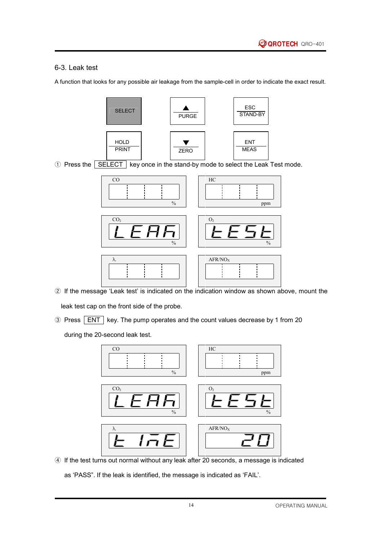#### 6-3. Leak test

A function that looks for any possible air leakage from the sample-cell in order to indicate the exact result.



① Press the SELECT key once in the stand-by mode to select the Leak Test mode.



② If the message 'Leak test' is indicated on the indication window as shown above, mount the

leak test cap on the front side of the probe.

③ Press ENT key. The pump operates and the count values decrease by 1 from 20

during the 20-second leak test.



④ If the test turns out normal without any leak after 20 seconds, a message is indicated

as 'PASS". If the leak is identified, the message is indicated as 'FAIL'.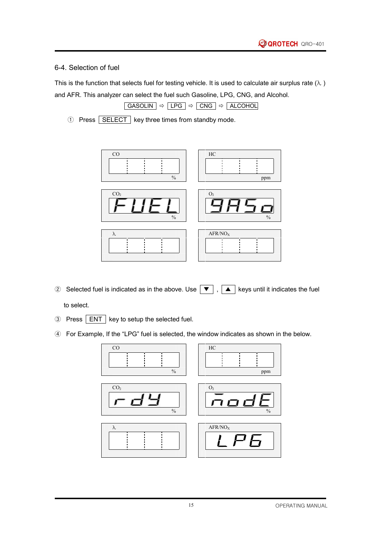#### 6-4. Selection of fuel

This is the function that selects fuel for testing vehicle. It is used to calculate air surplus rate  $(\lambda)$ and AFR. This analyzer can select the fuel such Gasoline, LPG, CNG, and Alcohol.

$$
\fbox{GASOLIN} \Rightarrow \fbox{LPG} \Rightarrow \fbox{CNG} \Rightarrow \fbox{ALCOHOL}
$$

① Press SELECT key three times from standby mode.



② Selected fuel is indicated as in the above. Use  $\boxed{\blacktriangledown}$ ,  $\boxed{\blacktriangle}$  keys until it indicates the fuel

to select.

- ③ Press ENT key to setup the selected fuel.
- ④ For Example, If the "LPG" fuel is selected, the window indicates as shown in the below.

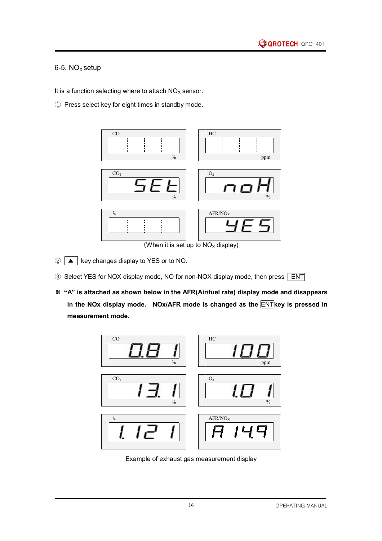#### 6-5.  $NO<sub>x</sub> setup$

It is a function selecting where to attach  $NO<sub>x</sub>$  sensor.

① Press select key for eight times in standby mode.



(When it is set up to  $NO<sub>X</sub>$  display)

- $\circled{2}$   $\Box$  key changes display to YES or to NO.
- 3 Select YES for NOX display mode, NO for non-NOX display mode, then press **ENT**
- ※ "A" is attached as shown below in the AFR(Air/fuel rate) display mode and disappears in the NOx display mode. NOx/AFR mode is changed as the  $\overline{\text{ENT}}$ key is pressed in measurement mode.



Example of exhaust gas measurement display